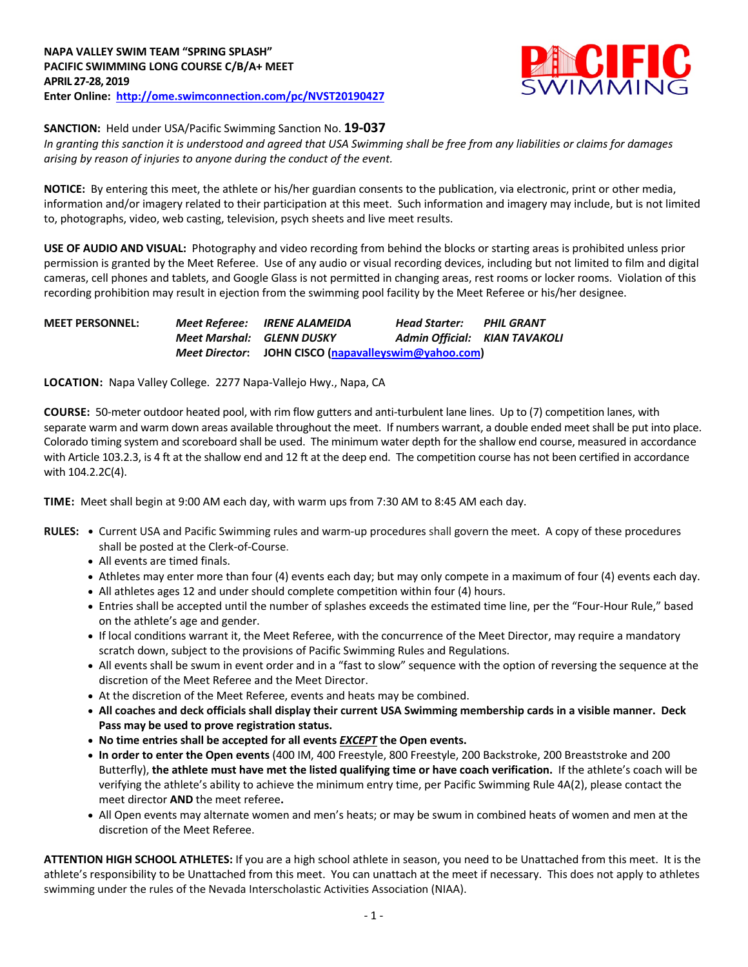

**SANCTION:** Held under USA/Pacific Swimming Sanction No. **19-037**

*In granting this sanction it is understood and agreed that USA Swimming shall be free from any liabilities or claims for damages arising by reason of injuries to anyone during the conduct of the event.*

**NOTICE:** By entering this meet, the athlete or his/her guardian consents to the publication, via electronic, print or other media, information and/or imagery related to their participation at this meet. Such information and imagery may include, but is not limited to, photographs, video, web casting, television, psych sheets and live meet results.

**USE OF AUDIO AND VISUAL:** Photography and video recording from behind the blocks or starting areas is prohibited unless prior permission is granted by the Meet Referee. Use of any audio or visual recording devices, including but not limited to film and digital cameras, cell phones and tablets, and Google Glass is not permitted in changing areas, rest rooms or locker rooms. Violation of this recording prohibition may result in ejection from the swimming pool facility by the Meet Referee or his/her designee.

| <b>MEET PERSONNEL:</b> |                                  | <b>Meet Referee: IRENE ALAMEIDA</b>                  | Head Starter:                        | PHIL GRANT |
|------------------------|----------------------------------|------------------------------------------------------|--------------------------------------|------------|
|                        | <b>Meet Marshal: GLENN DUSKY</b> |                                                      | <b>Admin Official: KIAN TAVAKOLI</b> |            |
|                        |                                  | Meet Director: JOHN CISCO (napavalleyswim@yahoo.com) |                                      |            |

**LOCATION:** Napa Valley College. 2277 Napa-Vallejo Hwy., Napa, CA

**COURSE:** 50-meter outdoor heated pool, with rim flow gutters and anti-turbulent lane lines. Up to (7) competition lanes, with separate warm and warm down areas available throughout the meet. If numbers warrant, a double ended meet shall be put into place. Colorado timing system and scoreboard shall be used. The minimum water depth for the shallow end course, measured in accordance with Article 103.2.3, is 4 ft at the shallow end and 12 ft at the deep end. The competition course has not been certified in accordance with 104.2.2C(4).

**TIME:** Meet shall begin at 9:00 AM each day, with warm ups from 7:30 AM to 8:45 AM each day.

- **RULES: •** Current USA and Pacific Swimming rules and warm-up procedures shall govern the meet. A copy of these procedures shall be posted at the Clerk-of-Course.
	- All events are timed finals.
	- Athletes may enter more than four (4) events each day; but may only compete in a maximum of four (4) events each day.
	- All athletes ages 12 and under should complete competition within four (4) hours.
	- Entries shall be accepted until the number of splashes exceeds the estimated time line, per the "Four-Hour Rule," based on the athlete's age and gender.
	- If local conditions warrant it, the Meet Referee, with the concurrence of the Meet Director, may require a mandatory scratch down, subject to the provisions of Pacific Swimming Rules and Regulations.
	- All events shall be swum in event order and in a "fast to slow" sequence with the option of reversing the sequence at the discretion of the Meet Referee and the Meet Director.
	- At the discretion of the Meet Referee, events and heats may be combined.
	- **All coaches and deck officials shall display their current USA Swimming membership cards in a visible manner. Deck Pass may be used to prove registration status.**
	- **No time entries shall be accepted for all events** *EXCEPT* **the Open events.**
	- **In order to enter the Open events** (400 IM, 400 Freestyle, 800 Freestyle, 200 Backstroke, 200 Breaststroke and 200 Butterfly), **the athlete must have met the listed qualifying time or have coach verification.** If the athlete's coach will be verifying the athlete's ability to achieve the minimum entry time, per Pacific Swimming Rule 4A(2), please contact the meet director **AND** the meet referee**.**
	- All Open events may alternate women and men's heats; or may be swum in combined heats of women and men at the discretion of the Meet Referee.

**ATTENTION HIGH SCHOOL ATHLETES:** If you are a high school athlete in season, you need to be Unattached from this meet. It is the athlete's responsibility to be Unattached from this meet. You can unattach at the meet if necessary. This does not apply to athletes swimming under the rules of the Nevada Interscholastic Activities Association (NIAA).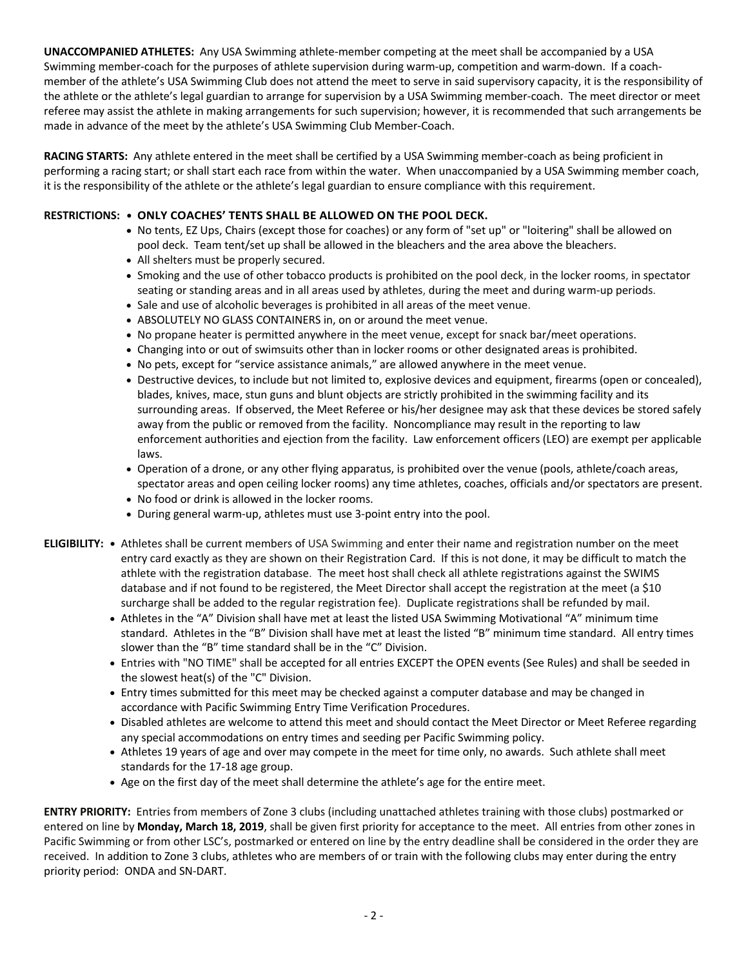**UNACCOMPANIED ATHLETES:** Any USA Swimming athlete-member competing at the meet shall be accompanied by a USA Swimming member-coach for the purposes of athlete supervision during warm-up, competition and warm-down. If a coachmember of the athlete's USA Swimming Club does not attend the meet to serve in said supervisory capacity, it is the responsibility of the athlete or the athlete's legal guardian to arrange for supervision by a USA Swimming member-coach. The meet director or meet referee may assist the athlete in making arrangements for such supervision; however, it is recommended that such arrangements be made in advance of the meet by the athlete's USA Swimming Club Member-Coach.

**RACING STARTS:** Any athlete entered in the meet shall be certified by a USA Swimming member-coach as being proficient in performing a racing start; or shall start each race from within the water. When unaccompanied by a USA Swimming member coach, it is the responsibility of the athlete or the athlete's legal guardian to ensure compliance with this requirement.

## **RESTRICTIONS: • ONLY COACHES' TENTS SHALL BE ALLOWED ON THE POOL DECK.**

- No tents, EZ Ups, Chairs (except those for coaches) or any form of "set up" or "loitering" shall be allowed on pool deck. Team tent/set up shall be allowed in the bleachers and the area above the bleachers.
- All shelters must be properly secured.
- Smoking and the use of other tobacco products is prohibited on the pool deck, in the locker rooms, in spectator seating or standing areas and in all areas used by athletes, during the meet and during warm-up periods.
- Sale and use of alcoholic beverages is prohibited in all areas of the meet venue.
- ABSOLUTELY NO GLASS CONTAINERS in, on or around the meet venue.
- No propane heater is permitted anywhere in the meet venue, except for snack bar/meet operations.
- Changing into or out of swimsuits other than in locker rooms or other designated areas is prohibited.
- No pets, except for "service assistance animals," are allowed anywhere in the meet venue.
- Destructive devices, to include but not limited to, explosive devices and equipment, firearms (open or concealed), blades, knives, mace, stun guns and blunt objects are strictly prohibited in the swimming facility and its surrounding areas. If observed, the Meet Referee or his/her designee may ask that these devices be stored safely away from the public or removed from the facility. Noncompliance may result in the reporting to law enforcement authorities and ejection from the facility. Law enforcement officers (LEO) are exempt per applicable laws.
- Operation of a drone, or any other flying apparatus, is prohibited over the venue (pools, athlete/coach areas, spectator areas and open ceiling locker rooms) any time athletes, coaches, officials and/or spectators are present.
- No food or drink is allowed in the locker rooms.
- During general warm-up, athletes must use 3-point entry into the pool.
- **ELIGIBILITY: •** Athletes shall be current members of USA Swimming and enter their name and registration number on the meet entry card exactly as they are shown on their Registration Card. If this is not done, it may be difficult to match the athlete with the registration database. The meet host shall check all athlete registrations against the SWIMS database and if not found to be registered, the Meet Director shall accept the registration at the meet (a \$10 surcharge shall be added to the regular registration fee). Duplicate registrations shall be refunded by mail.
	- Athletes in the "A" Division shall have met at least the listed USA Swimming Motivational "A" minimum time standard. Athletes in the "B" Division shall have met at least the listed "B" minimum time standard. All entry times slower than the "B" time standard shall be in the "C" Division.
	- Entries with "NO TIME" shall be accepted for all entries EXCEPT the OPEN events (See Rules) and shall be seeded in the slowest heat(s) of the "C" Division.
	- Entry times submitted for this meet may be checked against a computer database and may be changed in accordance with Pacific Swimming Entry Time Verification Procedures.
	- Disabled athletes are welcome to attend this meet and should contact the Meet Director or Meet Referee regarding any special accommodations on entry times and seeding per Pacific Swimming policy.
	- Athletes 19 years of age and over may compete in the meet for time only, no awards. Such athlete shall meet standards for the 17-18 age group.
	- Age on the first day of the meet shall determine the athlete's age for the entire meet.

**ENTRY PRIORITY:** Entries from members of Zone 3 clubs (including unattached athletes training with those clubs) postmarked or entered on line by **Monday, March 18, 2019**, shall be given first priority for acceptance to the meet. All entries from other zones in Pacific Swimming or from other LSC's, postmarked or entered on line by the entry deadline shall be considered in the order they are received. In addition to Zone 3 clubs, athletes who are members of or train with the following clubs may enter during the entry priority period: ONDA and SN-DART.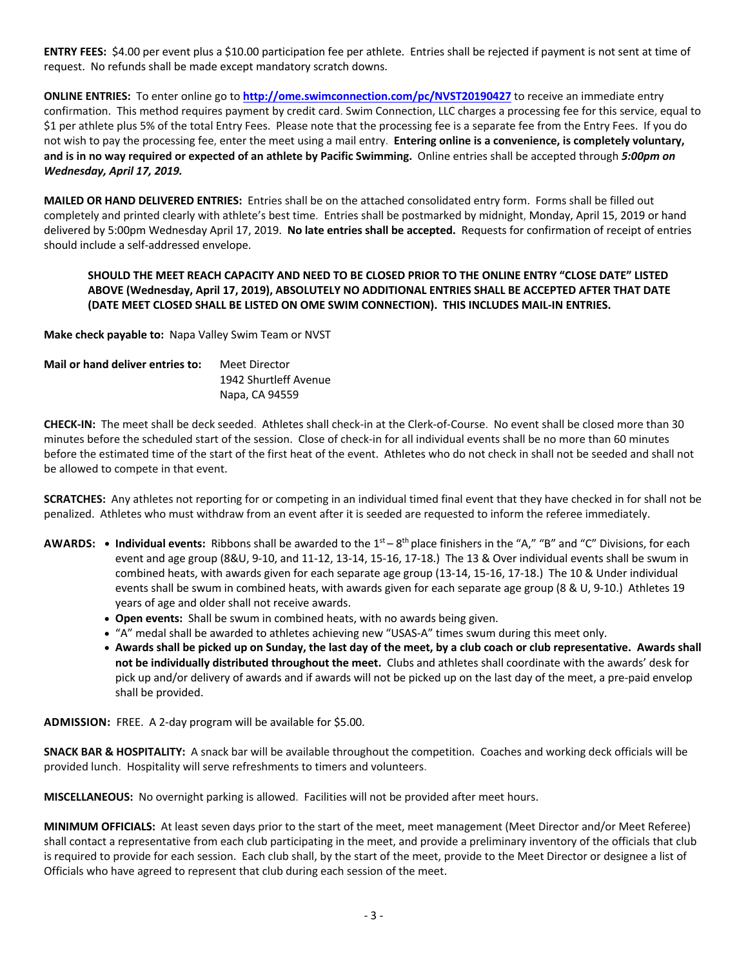**ENTRY FEES:** \$4.00 per event plus a \$10.00 participation fee per athlete. Entries shall be rejected if payment is not sent at time of request. No refunds shall be made except mandatory scratch downs.

**ONLINE ENTRIES:** To enter online go to **http://ome.swimconnection.com/pc/NVST20190427** to receive an immediate entry confirmation. This method requires payment by credit card. Swim Connection, LLC charges a processing fee for this service, equal to \$1 per athlete plus 5% of the total Entry Fees. Please note that the processing fee is a separate fee from the Entry Fees. If you do not wish to pay the processing fee, enter the meet using a mail entry. **Entering online is a convenience, is completely voluntary, and is in no way required or expected of an athlete by Pacific Swimming.** Online entries shall be accepted through *5:00pm on Wednesday, April 17, 2019.*

**MAILED OR HAND DELIVERED ENTRIES:** Entries shall be on the attached consolidated entry form. Forms shall be filled out completely and printed clearly with athlete's best time. Entries shall be postmarked by midnight, Monday, April 15, 2019 or hand delivered by 5:00pm Wednesday April 17, 2019. **No late entries shall be accepted.** Requests for confirmation of receipt of entries should include a self-addressed envelope.

## **SHOULD THE MEET REACH CAPACITY AND NEED TO BE CLOSED PRIOR TO THE ONLINE ENTRY "CLOSE DATE" LISTED ABOVE (Wednesday, April 17, 2019), ABSOLUTELY NO ADDITIONAL ENTRIES SHALL BE ACCEPTED AFTER THAT DATE (DATE MEET CLOSED SHALL BE LISTED ON OME SWIM CONNECTION). THIS INCLUDES MAIL-IN ENTRIES.**

**Make check payable to:** Napa Valley Swim Team or NVST

| Mail or hand deliver entries to: | Meet Director         |
|----------------------------------|-----------------------|
|                                  | 1942 Shurtleff Avenue |
|                                  | Napa, CA 94559        |

**CHECK-IN:** The meet shall be deck seeded. Athletes shall check-in at the Clerk-of-Course. No event shall be closed more than 30 minutes before the scheduled start of the session. Close of check-in for all individual events shall be no more than 60 minutes before the estimated time of the start of the first heat of the event. Athletes who do not check in shall not be seeded and shall not be allowed to compete in that event.

**SCRATCHES:** Any athletes not reporting for or competing in an individual timed final event that they have checked in for shall not be penalized. Athletes who must withdraw from an event after it is seeded are requested to inform the referee immediately.

- **AWARDS:** Individual events: Ribbons shall be awarded to the 1<sup>st</sup> 8<sup>th</sup> place finishers in the "A," "B" and "C" Divisions, for each event and age group (8&U, 9-10, and 11-12, 13-14, 15-16, 17-18.) The 13 & Over individual events shall be swum in combined heats, with awards given for each separate age group (13-14, 15-16, 17-18.) The 10 & Under individual events shall be swum in combined heats, with awards given for each separate age group (8 & U, 9-10.) Athletes 19 years of age and older shall not receive awards.
	- **Open events:** Shall be swum in combined heats, with no awards being given.
	- "A" medal shall be awarded to athletes achieving new "USAS-A" times swum during this meet only.
	- **Awards shall be picked up on Sunday, the last day of the meet, by a club coach or club representative. Awards shall not be individually distributed throughout the meet.** Clubs and athletes shall coordinate with the awards' desk for pick up and/or delivery of awards and if awards will not be picked up on the last day of the meet, a pre-paid envelop shall be provided.

**ADMISSION:** FREE. A 2-day program will be available for \$5.00.

**SNACK BAR & HOSPITALITY:** A snack bar will be available throughout the competition. Coaches and working deck officials will be provided lunch. Hospitality will serve refreshments to timers and volunteers.

**MISCELLANEOUS:** No overnight parking is allowed. Facilities will not be provided after meet hours.

**MINIMUM OFFICIALS:** At least seven days prior to the start of the meet, meet management (Meet Director and/or Meet Referee) shall contact a representative from each club participating in the meet, and provide a preliminary inventory of the officials that club is required to provide for each session. Each club shall, by the start of the meet, provide to the Meet Director or designee a list of Officials who have agreed to represent that club during each session of the meet.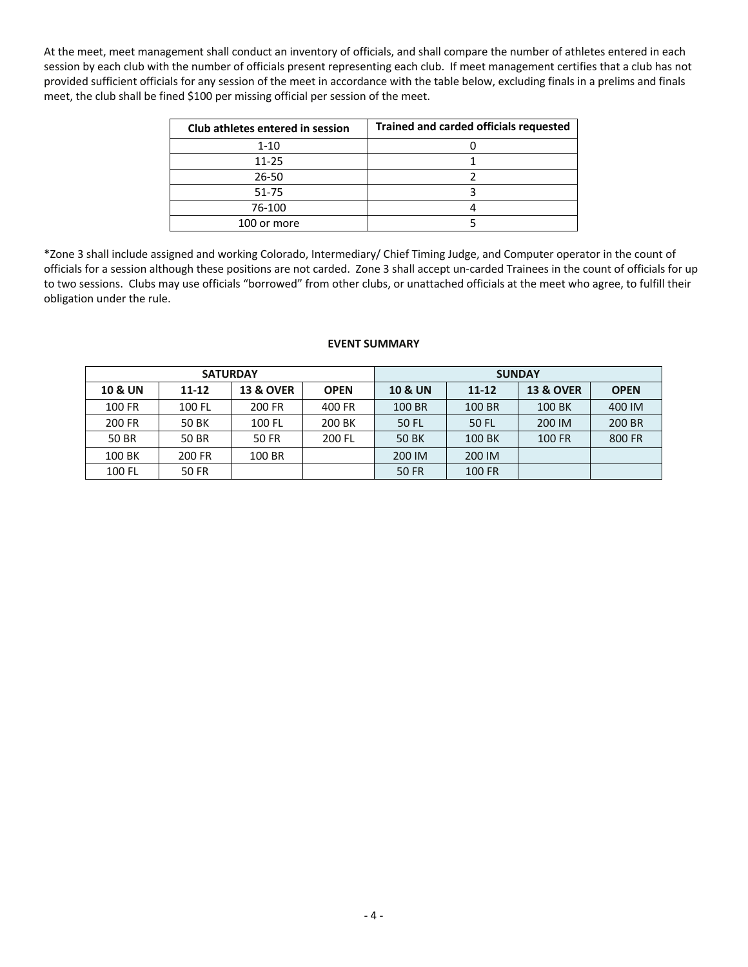At the meet, meet management shall conduct an inventory of officials, and shall compare the number of athletes entered in each session by each club with the number of officials present representing each club. If meet management certifies that a club has not provided sufficient officials for any session of the meet in accordance with the table below, excluding finals in a prelims and finals meet, the club shall be fined \$100 per missing official per session of the meet.

| Club athletes entered in session | <b>Trained and carded officials requested</b> |
|----------------------------------|-----------------------------------------------|
| $1 - 10$                         |                                               |
| $11 - 25$                        |                                               |
| $26 - 50$                        |                                               |
| $51 - 75$                        |                                               |
| 76-100                           |                                               |
| 100 or more                      |                                               |

\*Zone 3 shall include assigned and working Colorado, Intermediary/ Chief Timing Judge, and Computer operator in the count of officials for a session although these positions are not carded. Zone 3 shall accept un-carded Trainees in the count of officials for up to two sessions. Clubs may use officials "borrowed" from other clubs, or unattached officials at the meet who agree, to fulfill their obligation under the rule.

## **EVENT SUMMARY**

|                    | <b>SATURDAY</b> |                      |             | <b>SUNDAY</b>      |           |                      |             |  |  |
|--------------------|-----------------|----------------------|-------------|--------------------|-----------|----------------------|-------------|--|--|
| <b>10 &amp; UN</b> | $11 - 12$       | <b>13 &amp; OVER</b> | <b>OPEN</b> | <b>10 &amp; UN</b> | $11 - 12$ | <b>13 &amp; OVER</b> | <b>OPEN</b> |  |  |
| 100 FR             | 100 FL          | 200 FR               | 400 FR      | 100 BR             | 100 BR    | 100 BK               | 400 IM      |  |  |
| 200 FR             | 50 BK           | 100 FL               | 200 BK      | 50 FL              | 50 FL     | 200 IM               | 200 BR      |  |  |
| 50 BR              | 50 BR           | 50 FR                | 200 FL      | <b>50 BK</b>       | 100 BK    | 100 FR               | 800 FR      |  |  |
| 100 BK             | 200 FR          | 100 BR               |             | 200 IM             | 200 IM    |                      |             |  |  |
| 100 FL             | <b>50 FR</b>    |                      |             | 50 FR              | 100 FR    |                      |             |  |  |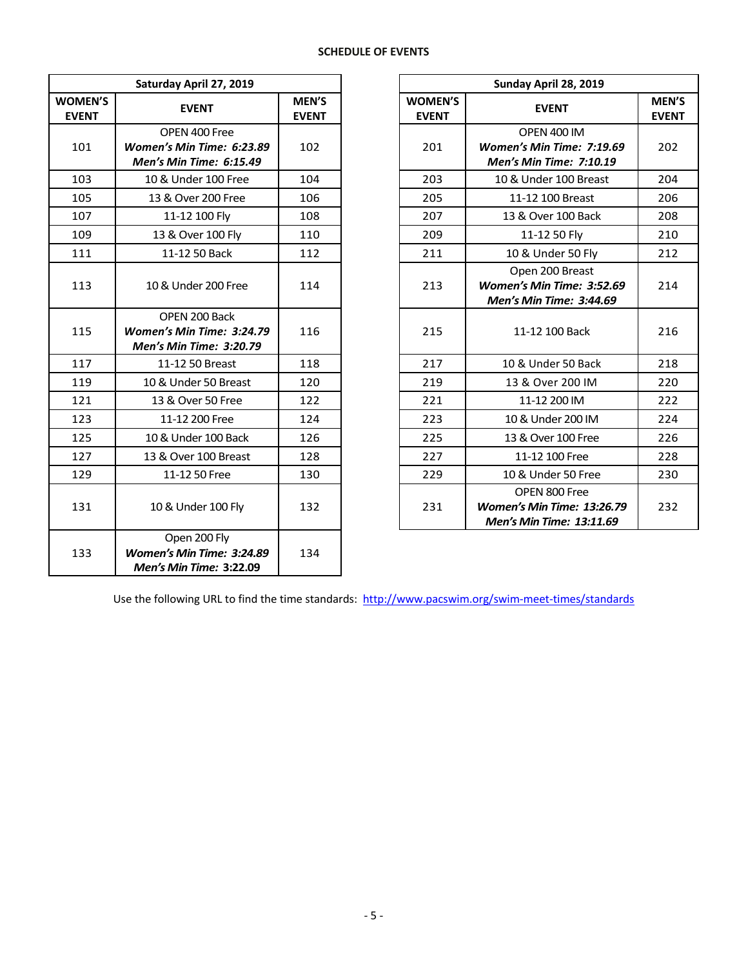## **SCHEDULE OF EVENTS**

|                                | Saturday April 27, 2019                                                      |                       |                                | Sunday April 28, 2019                                                    |
|--------------------------------|------------------------------------------------------------------------------|-----------------------|--------------------------------|--------------------------------------------------------------------------|
| <b>WOMEN'S</b><br><b>EVENT</b> | <b>EVENT</b>                                                                 | MEN'S<br><b>EVENT</b> | <b>WOMEN'S</b><br><b>EVENT</b> | <b>EVENT</b>                                                             |
| 101                            | OPEN 400 Free<br>Women's Min Time: 6:23.89<br><b>Men's Min Time: 6:15.49</b> | 102                   | 201                            | OPEN 400 IM<br><b>Women's Min Time: 7:1.</b><br>Men's Min Time: 7:10.    |
| 103                            | 10 & Under 100 Free                                                          | 104                   | 203                            | 10 & Under 100 Breas                                                     |
| 105                            | 13 & Over 200 Free                                                           | 106                   | 205                            | 11-12 100 Breast                                                         |
| 107                            | 11-12 100 Fly                                                                | 108                   | 207                            | 13 & Over 100 Back                                                       |
| 109                            | 13 & Over 100 Fly                                                            | 110                   | 209                            | 11-12 50 Fly                                                             |
| 111                            | 11-12 50 Back                                                                | 112                   | 211                            | 10 & Under 50 Fly                                                        |
| 113                            | 10 & Under 200 Free                                                          | 114                   | 213                            | Open 200 Breast<br><b>Women's Min Time: 3:5</b><br>Men's Min Time: 3:44. |
| 115                            | OPEN 200 Back<br>Women's Min Time: 3:24.79<br>Men's Min Time: 3:20.79        | 116                   | 215                            | 11-12 100 Back                                                           |
| 117                            | 11-12 50 Breast                                                              | 118                   | 217                            | 10 & Under 50 Back                                                       |
| 119                            | 10 & Under 50 Breast                                                         | 120                   | 219                            | 13 & Over 200 IM                                                         |
| 121                            | 13 & Over 50 Free                                                            | 122                   | 221                            | 11-12 200 IM                                                             |
| 123                            | 11-12 200 Free                                                               | 124                   | 223                            | 10 & Under 200 IM                                                        |
| 125                            | 10 & Under 100 Back                                                          | 126                   | 225                            | 13 & Over 100 Free                                                       |
| 127                            | 13 & Over 100 Breast                                                         | 128                   | 227                            | 11-12 100 Free                                                           |
| 129                            | 11-12 50 Free                                                                | 130                   | 229                            | 10 & Under 50 Free                                                       |
| 131                            | 10 & Under 100 Fly                                                           | 132                   | 231                            | OPEN 800 Free<br><b>Women's Min Time: 13:2</b><br>Men's Min Time: 13:11. |
| 133                            | Open 200 Fly<br>Women's Min Time: 3:24.89<br><b>Men's Min Time: 3:22.09</b>  | 134                   |                                |                                                                          |

| Saturday April 27, 2019     |                                                                              |                       |                                | Sunday April 28, 2019                                                          |                       |  |  |  |
|-----------------------------|------------------------------------------------------------------------------|-----------------------|--------------------------------|--------------------------------------------------------------------------------|-----------------------|--|--|--|
| <b>MEN'S</b><br><b>VENT</b> | <b>EVENT</b>                                                                 | MEN'S<br><b>EVENT</b> | <b>WOMEN'S</b><br><b>EVENT</b> | <b>EVENT</b>                                                                   | MEN'S<br><b>EVENT</b> |  |  |  |
| 101                         | OPEN 400 Free<br>Women's Min Time: 6:23.89<br>Men's Min Time: 6:15.49        | 102                   | 201                            | OPEN 400 IM<br>Women's Min Time: 7:19.69<br><b>Men's Min Time: 7:10.19</b>     | 202                   |  |  |  |
| 103                         | 10 & Under 100 Free                                                          | 104                   | 203                            | 10 & Under 100 Breast                                                          | 204                   |  |  |  |
| 105                         | 13 & Over 200 Free                                                           | 106                   | 205                            | 11-12 100 Breast                                                               | 206                   |  |  |  |
| 107                         | 11-12 100 Fly                                                                | 108                   | 207                            | 13 & Over 100 Back                                                             | 208                   |  |  |  |
| 109                         | 13 & Over 100 Fly                                                            | 110                   | 209                            | 11-12 50 Fly                                                                   | 210                   |  |  |  |
| 111                         | 11-12 50 Back                                                                | 112                   | 211                            | 10 & Under 50 Fly                                                              | 212                   |  |  |  |
| 113                         | 10 & Under 200 Free                                                          | 114                   | 213                            | Open 200 Breast<br>Women's Min Time: 3:52.69<br><b>Men's Min Time: 3:44.69</b> | 214                   |  |  |  |
| 115                         | OPEN 200 Back<br>Women's Min Time: 3:24.79<br><b>Men's Min Time: 3:20.79</b> | 116                   | 215                            | 11-12 100 Back                                                                 | 216                   |  |  |  |
| 117                         | 11-12 50 Breast                                                              | 118                   | 217                            | 10 & Under 50 Back                                                             | 218                   |  |  |  |
| 119                         | 10 & Under 50 Breast                                                         | 120                   | 219                            | 13 & Over 200 IM                                                               | 220                   |  |  |  |
| 121                         | 13 & Over 50 Free                                                            | 122                   | 221                            | 11-12 200 IM                                                                   | 222                   |  |  |  |
| 123                         | 11-12 200 Free                                                               | 124                   | 223                            | 10 & Under 200 IM                                                              | 224                   |  |  |  |
| 125                         | 10 & Under 100 Back                                                          | 126                   | 225                            | 13 & Over 100 Free                                                             | 226                   |  |  |  |
| 127                         | 13 & Over 100 Breast                                                         | 128                   | 227                            | 11-12 100 Free                                                                 | 228                   |  |  |  |
| 129                         | 11-12 50 Free                                                                | 130                   | 229                            | 10 & Under 50 Free                                                             | 230                   |  |  |  |
| 131                         | 10 & Under 100 Fly                                                           | 132                   | 231                            | OPEN 800 Free<br>Women's Min Time: 13:26.79<br>Men's Min Time: 13:11.69        | 232                   |  |  |  |

Use the following URL to find the time standards: http://www.pacswim.org/swim-meet-times/standards